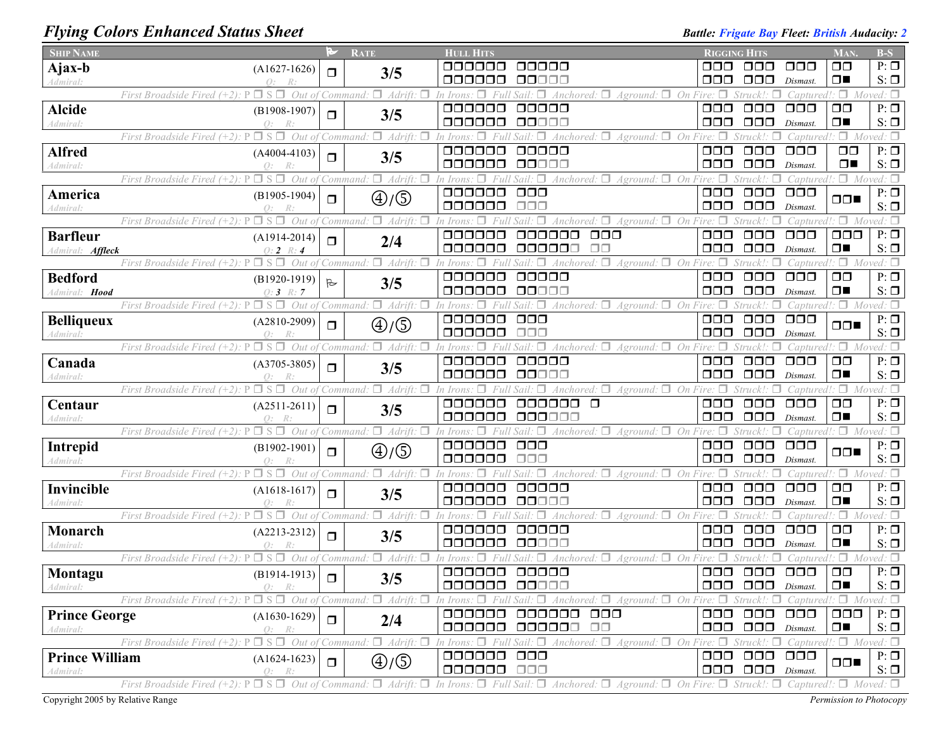## *Flying Colors Enhanced Status Sheet* **Battle: Battle:** *Battle: Frigate Bay Fleet: British Audacity: 2*<br>Battle: *Frigate Bay Fleet: British Audacity: 2*

| <b>SHIP NAME</b>                  |                                                                                               | P            | <b>RATE</b>                                           | <b>HULL HITS</b>                                                                                                                    |                                                                 | <b>RIGGING HITS</b>                     |                           | MAN.                            | $B-S$                      |
|-----------------------------------|-----------------------------------------------------------------------------------------------|--------------|-------------------------------------------------------|-------------------------------------------------------------------------------------------------------------------------------------|-----------------------------------------------------------------|-----------------------------------------|---------------------------|---------------------------------|----------------------------|
| Ajax-b                            | $(A1627-1626)$                                                                                | $\Box$       | 3/5                                                   | 000000<br>00000                                                                                                                     | OOO                                                             | 000                                     | $\Box$ $\Box$             | $\Box$ $\Box$                   | $P: \Box$                  |
| Admiral:                          | $Q$ :<br>R:                                                                                   |              |                                                       | 000000<br>88888                                                                                                                     | 000                                                             | $\Box$ $\Box$                           | Dismast.                  | $\Box$                          | $S: \Box$                  |
|                                   | $\square$ s $\square$<br>Out of<br>First Broadside Fired (+2)                                 |              | $\Box$ Adrift:<br><i>Command</i>                      | Anchored:<br>Aground: $\Box$<br>In Irons<br>$\Box$<br>On                                                                            | Fire: $\Box$                                                    |                                         | Captured!                 |                                 | $\Box$ Moved: $\Box$       |
| <b>Alcide</b>                     | $(B1908-1907)$                                                                                | ◘            | 3/5                                                   | 000000<br>00000                                                                                                                     | $\Box$ $\Box$                                                   | $\Box$ $\Box$                           | $\Box$ $\Box$             | $\Box$ $\Box$                   | $P: \Box$                  |
| Admiral:                          | $Q$ :<br>R:                                                                                   |              |                                                       | 000000<br>00000                                                                                                                     | 000                                                             | $\Box \Box \Box$                        | Dismast.                  | $\Box$                          | $S: \Box$                  |
|                                   | $\Box$ S $\Box$<br>Out of<br>First Broadside Fired $(+2)$ :                                   |              | $\Box$ Adrift.<br>Command                             | Aground:<br>On<br>In Irons<br>Anchored:                                                                                             | $Fire: \Box$                                                    | Struck!                                 | Captured.                 |                                 | $\Box$ Moved: $\Box$       |
| <b>Alfred</b>                     | $(A4004-4103)$                                                                                | $\Box$       | 3/5                                                   | 000000<br>00000<br>000000<br>00000                                                                                                  | $\Box$ $\Box$<br>$\Box$ $\Box$                                  | $\Box$ $\Box$<br>$\Box \Box \Box$       | $\Box$ $\Box$             | $\Box$ $\Box$<br>$\Box$         | $P: \Box$                  |
| Admiral:                          | Q:<br>First Broadside Fired $(+2)$ :<br>⊐ S.<br>Out                                           |              | Adrift.<br>command                                    | $\Box$ On<br>Anchored:<br>Aground:                                                                                                  |                                                                 |                                         | Dismast.<br>'aptured      | $\Box$ Mo                       | $S: \Box$                  |
| America                           |                                                                                               |              |                                                       | 000000<br>$\Box$ $\Box$                                                                                                             | $\Box$ $\Box$                                                   | $\Box$ $\Box$                           | $\Box$ $\Box$             |                                 | $P: \Box$                  |
| Admiral:                          | $(B1905-1904)$                                                                                | $\Box$       | $\textcircled{4}/\textcircled{5}$                     | 000000<br>$\Box \Box \Box$                                                                                                          | 000                                                             | $\Box$ $\Box$                           | Dismast.                  | $\Box$                          | $S: \Box$                  |
|                                   | $\Box$ S $\Box$<br>Out of<br>First Broadside Fired $(+2)$ :                                   |              | $\Box$ Adrift:<br>Command                             | $Aground:$ $\Box$ On Fire:<br>Anchored: $\square$<br>n Irons                                                                        |                                                                 | Struck!:                                | Captured!                 |                                 | $\Box$ Moved: $\Box$       |
| <b>Barfleur</b>                   | $(A1914-2014)$                                                                                |              |                                                       | 000000<br>oooooo<br>$\Box$ $\Box$                                                                                                   | $\Box \Box \Box$                                                | $\Box \Box \Box$                        | $\Box$ $\Box$             | $\Box$ $\Box$                   | $P: \Box$                  |
| Admiral: <b>Affleck</b>           | $0:2 \mathbb{R}:4$                                                                            | $\Box$       | 2/4                                                   | 000000<br>000000<br>$\Box \Box$                                                                                                     | $\Box$ $\Box$                                                   | $\Box$ $\Box$                           | Dismast.                  | $\Box$                          | $S: \Box$                  |
|                                   | First Broadside Fired (+2):<br>$\Box$ S<br>П<br>Out of                                        |              | $\Box$ Adrift:<br>'Command                            | Aground:<br>On<br>Anchored:                                                                                                         |                                                                 | Struck!:                                | Captured!                 | $\Box$                          | Moved: $\Box$              |
| <b>Bedford</b>                    | $(B1920-1919)$                                                                                | $\mathbb{R}$ |                                                       | 000000<br>00000                                                                                                                     | $\Box$ $\Box$                                                   | $\Box$ $\Box$                           | $\Box$ $\Box$             | $\Box$                          | $P: \Box$                  |
| Admiral: Hood                     | $O: 3 \; R: 7$                                                                                |              | 3/5                                                   | 000000<br>88888                                                                                                                     | ooo                                                             | $\Box$ $\Box$                           | Dismast.                  | $\Box$                          | $S: \Box$                  |
|                                   | Out<br>First Broadside Fired $(+2)$ .                                                         |              | п.<br>Adrift.<br>Command                              | Anchored: $\Box$<br>Aground:                                                                                                        | On Fire                                                         |                                         | aptured!                  | Π.                              | $Moved: \Box$              |
| <b>Belliqueux</b>                 | $(A2810-2909)$                                                                                | $\Box$       | $\textcircled{4}/\textcircled{5}$                     | $\Box$ $\Box$<br>000000                                                                                                             | $\Box$ $\Box$                                                   | $\Box$ $\Box$                           | $\Box$ $\Box$             | $\Box \Box$                     | $P: \Box$                  |
| Admiral:                          |                                                                                               |              |                                                       | 000000<br>$\Box \Box \Box$                                                                                                          | $\Box$ $\Box$                                                   | $\Box$ $\Box$                           | Dismast.                  |                                 | $S: \Box$                  |
|                                   | $\Box$ S $\Box$<br>Out of<br>First Broadside Fired $(+2)$ .                                   |              | $\Box$ Adrift:<br>Command                             | Anchored: $\Box$ Aground: $\Box$ On Fire: $\Box$<br>п<br>In Irons                                                                   |                                                                 | Struck!:<br>п                           | Captured!:                | $\Box$ Moved: $\Box$            |                            |
| Canada                            | $(A3705-3805)$                                                                                | $\Box$       | 3/5                                                   | 000000<br>00000                                                                                                                     | $\Box$ $\Box$                                                   | $\Box$ $\Box$                           | $\Box$ $\Box$             | $\Box$                          | $P: \Box$                  |
| Admiral:                          |                                                                                               |              |                                                       | 000000<br>00000                                                                                                                     | $\Box$ $\Box$                                                   | $\Box$ $\Box$                           | Dismast.                  | $\Box$                          | $S: \Box$                  |
|                                   | $\square$ s $\square$<br>Out of<br>First Broadside Fired $(+2)$ : P                           |              | $\Box$ Adrift:<br>Command:                            | $Aground:$ $\Box$ On Fire: $\Box$<br>'n Irons<br>Anchored:                                                                          |                                                                 | Struck!:                                | Captured!                 | ۰۵۰                             | Moved: $\Box$<br>$P: \Box$ |
| Centaur                           | $(A2511-2611)$                                                                                | $\Box$       | 3/5                                                   | 000000<br>000000<br>$\Box$<br>000000<br>000000                                                                                      | $\Box$ $\Box$<br>$\Box \Box \Box$                               | $\Box \Box \Box$<br>$\Box$ $\Box$       | $\Box$ $\Box$<br>Dismast. | $\Box$ $\Box$<br>$\Box$         | $S: \Box$                  |
| Admiral:                          | $Q$ :<br>$\Box$ S $\Box$ Out of<br>First Broadside Fired $(+2)$ : P                           |              | $\Box$ Adrift:<br>Command.                            | Anchored: $\Box$ Aground: $\Box$ On Fire: $\Box$<br>In Irons.<br>$\Box$<br>Sail:                                                    |                                                                 | Struck!:                                |                           | Captured!: $\Box$ Moved: $\Box$ |                            |
|                                   |                                                                                               |              |                                                       | 000000<br>$\Box$ $\Box$                                                                                                             | $\Box$ $\Box$                                                   | $\Box \Box \Box$                        | $\Box$ $\Box$             |                                 | $P: \Box$                  |
| Intrepid<br>Admiral:              | $(B1902-1901)$<br>$\Omega$ :                                                                  | $\Box$       | ⊕/⑤                                                   | 000000<br>ooo                                                                                                                       | $\Box \Box \Box$                                                | $\Box$ $\Box$                           | Dismast.                  | $\Box \Box$                     | $S: \Box$                  |
|                                   | First Broadside Fired $(+2)$ : P                                                              |              | $\Box$ S $\Box$ Out of Command: $\Box$ Adrift: $\Box$ | Anchored: $\Box$ Aground: $\Box$ On Fire:<br>In Irons<br>$\Box$<br>Sail:                                                            |                                                                 | Struck!:                                | Captured!                 |                                 | $\Box$ Moved: $\Box$       |
| Invincible                        | $(A1618-1617)$                                                                                |              |                                                       | 000000<br>00000                                                                                                                     | 000                                                             | $\Box$ $\Box$                           | $\Box$ $\Box$ $\Box$      | $\Box$                          | $P: \Box$                  |
| <i><b>Admiral:</b></i>            | Q:                                                                                            | $\Box$       | 3/5                                                   | 000000<br>QQQ00                                                                                                                     | 000                                                             | $\Box$ $\Box$                           | Dismast.                  | $\Box$                          | $S: \Box$                  |
|                                   | $\Box$ S $\Box$<br>First Broadside Fired (+2).<br>Out of                                      |              | $\Box$ Adrift: $\Box$<br>Command                      | $A$ ground: $\Box$ On<br>Anchored: $\Box$                                                                                           |                                                                 | Struck!:                                | Captured!                 | Π.                              | Moved: $\Box$              |
| Monarch                           | $(A2213-2312)$                                                                                | $\Box$       | 3/5                                                   | 000000<br>00000                                                                                                                     | $\Box$ $\Box$                                                   | $\Box \Box \Box$                        | $\Box$ $\Box$             | $\Box$                          | $P: \Box$                  |
| Admiral:                          | $O$ :<br>R:                                                                                   |              |                                                       | 000000<br>00000                                                                                                                     | 000                                                             | $\Box$ $\Box$                           | Dismast.                  | $\Box$                          | $S: \Box$                  |
|                                   | $\Box$ S $\Box$<br>Out of<br>First Broadside Fired (+2).                                      |              | $\Box$ Adrift:<br><i>Command</i>                      | $4nchored: \Box$<br>Aground:                                                                                                        | On                                                              | Struck! ·                               | Cantured!                 | 0.                              | Moved: $\Box$              |
| Montagu                           | $(B1914-1913)$                                                                                | $\Box$       | 3/5                                                   | 000000<br>00000                                                                                                                     | $\Box$ $\Box$                                                   | $\Box$ $\Box$                           | $\Box$ $\Box$             | $\Box$                          | $P: \Box$                  |
| Admiral:                          | - R:                                                                                          |              |                                                       | 000000 00000                                                                                                                        |                                                                 | $\Box$ $\Box$ $\Box$ $\Box$ $Dismast$ . |                           | $\Box$                          | $S: \Box$                  |
|                                   | First Broadside Fired (+2): $P \square S \square$ Out of Command: $\square$ Adrift: $\square$ |              |                                                       | In Irons: $\Box$ Full Sail: $\Box$ Anchored: $\Box$ Aground: $\Box$ On Fire: $\Box$ Struck!: $\Box$ Captured!: $\Box$ Moved: $\Box$ |                                                                 |                                         |                           |                                 |                            |
| <b>Prince George</b>              | $(A1630-1629)$                                                                                | $\Box$       | 2/4                                                   | 000000 000000 000<br>000000 000000 00                                                                                               |                                                                 | 000 000 000                             |                           | $\Box$ $\Box$                   | $P: \Box$                  |
| Admiral:                          | O: R:                                                                                         |              | $\Box$ S $\Box$ Out of Command: $\Box$ Adrift: $\Box$ | In Irons: $\Box$ Full Sail: $\Box$ Anchored: $\Box$ Aground: $\Box$ On Fire: $\Box$ Struck!: $\Box$ Captured!: $\Box$ Moved: $\Box$ |                                                                 | $\Box$ $\Box$ $\Box$ $\Box$ $Dismast$ . |                           | $\Box$                          | $S: \Box$                  |
|                                   | First Broadside Fired $(+2)$ : P                                                              |              |                                                       | 000000 000                                                                                                                          |                                                                 | 000 000 000                             |                           |                                 | $P: \Box$                  |
| <b>Prince William</b><br>Admiral: | $(A1624-1623)$<br>O: R:                                                                       | $\Box$       | $\textcircled{4}/\textcircled{5}$                     | 000000 000                                                                                                                          |                                                                 | $\Box$ $\Box$ $\Box$ $\Box$ $Dismast$ . |                           | $\Box$                          | $S: \Box$                  |
|                                   | $\Box$ S $\Box$ Out of Command:<br>First Broadside Fired $(+2)$ : P                           |              | $\Box$ Adrift: $\Box$                                 | In Irons: $\Box$ Full Sail: $\Box$ Anchored: $\Box$ Aground: $\Box$                                                                 | On Fire: $\Box$ Struck!: $\Box$ Captured!: $\Box$ Moved: $\Box$ |                                         |                           |                                 |                            |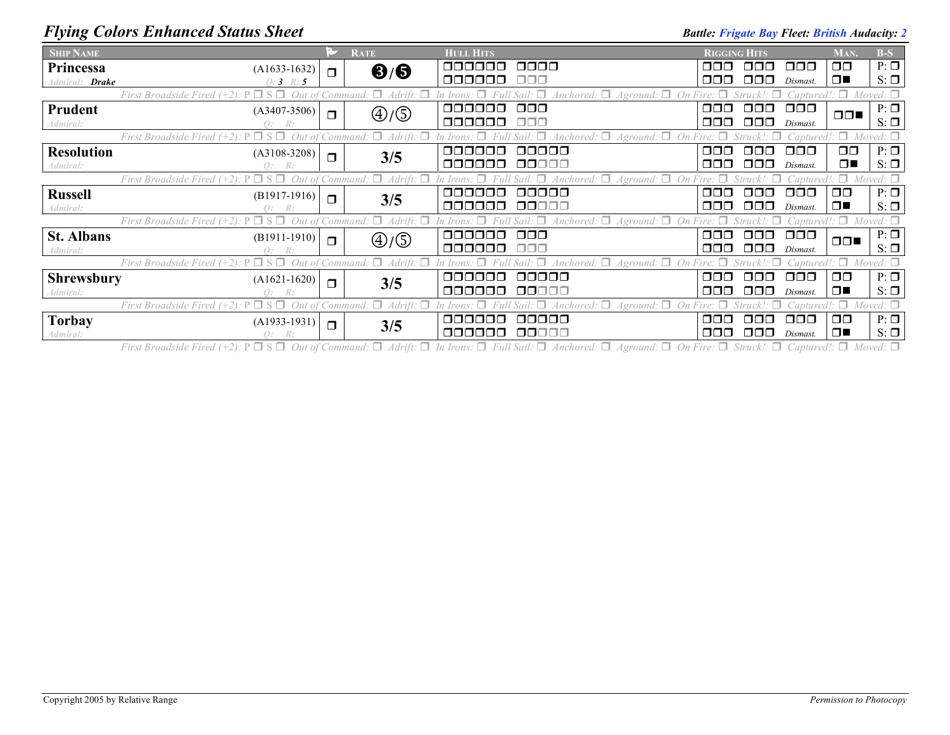## *Flying Colors Enhanced Status Sheet* **Battle:** *Battle: Frigate Bay Fleet: British Audacity: 2 Battle: Frigate Bay Fleet: British Audacity: 2*

| <b>SHIP NAME</b>      |                                                  |        | <b>RATE</b>                          | <b>HULL HITS</b>                                          | <b>RIGGING HITS</b> |               |                         | MAN.          | $B-S$            |
|-----------------------|--------------------------------------------------|--------|--------------------------------------|-----------------------------------------------------------|---------------------|---------------|-------------------------|---------------|------------------|
| Princessa             | $(A1633-1632)$                                   | $\Box$ | $\mathbf{6}/\mathbf{6}$              | 000000<br>0000                                            | ⊓⊓⊓                 | 000           | $\Box$ $\Box$           | $\Box$ $\Box$ | $P: \Box$        |
| Admiral: <b>Drake</b> | $0:3 \; R:5$                                     |        |                                      | 000000<br>000                                             | 000.                | 000           | Dismast.                | $\Box$        | $S: \Box$        |
|                       | First Broadside Fired                            |        | $\Box$<br>Command:<br>Adrift: $\Box$ | Anchored: $\Box$ Aground: $\Box$                          |                     |               |                         |               | $Moved: \Box$    |
| Prudent               | $(A3407 - 3506)$                                 | $\Box$ | $\bigoplus/\bigoplus$                | $\Box$ $\Box$<br>000000                                   | $\Box$ $\Box$       | $\Box$ $\Box$ | $\Box \Box \Box$        | $\Box$        | $P: \Box$        |
| Admiral:              | R:                                               |        |                                      | 000000<br>000                                             | 000.                | OOO           | Dismast.                |               | $S: \Box$        |
|                       | First Broadside Fired                            |        |                                      | Aground                                                   |                     |               |                         |               | $Moved: \Box$    |
| <b>Resolution</b>     | $(A3108-3208)$                                   | $\Box$ | 3/5                                  | 00000<br>000000                                           | OOO                 | ⊓⊓⊓           | 000                     | □□            | $P: \Box$        |
| Admiral:              | R:                                               |        |                                      | 000000<br>00000                                           | 000                 | 000.          | Dismast.                | $\Box$        | $S: \Box$        |
|                       | First Broadside Fired                            |        |                                      |                                                           |                     |               |                         |               |                  |
| <b>Russell</b>        | $(B1917-1916)$                                   | $\Box$ | 3/5                                  | 00000<br>oooooo                                           | ⊓⊓⊓                 | ⊓⊓⊓           | $\Box \Box \Box$        | $\Box$ $\Box$ | $P: \Box$        |
| Admiral:              | R:                                               |        |                                      | 000000<br>00000                                           | 000.                | 000           | Dismast.                | $\Box$        | $S: \Box$        |
|                       | First Broadside Fired                            |        | $\degree$ Command: $\Box$            | Anchored: $\Box$ Aground: $\Box$ On Fire: $\Box$          |                     | Struck!:      | $\Box$ aptured!: $\Box$ |               | $Moved: \Box$    |
| <b>St. Albans</b>     | $(B1911-1910)$                                   | $\Box$ | $\textcircled{4}/\textcircled{5}$    | $\Box$ $\Box$<br>000000                                   | 000                 | 000           | $\Box \Box \Box$        | $\Box$        | $P: \Box$        |
| Admiral:              |                                                  |        |                                      | 000000<br>ooo                                             | 000                 | 000.          | Dismast.                |               | $S: \Box$        |
|                       | First Broadside Fired                            |        |                                      | Aground:                                                  |                     |               |                         |               | Moved: $\square$ |
| <b>Shrewsbury</b>     | $(A1621-1620)$                                   | $\Box$ | 3/5                                  | 00000<br>nnnnn                                            | ⊓⊓⊓                 | ooo           | $\Box \Box \Box$        | $\Box$ $\Box$ | $P: \Box$        |
| Admiral:              | R:                                               |        |                                      | ooooo<br>00000                                            | 000.                | 000.          | Dismast.                | $\Box$        | $S: \Box$        |
|                       | First Broadside Fired $(+2)$ : P $\Box$ S $\Box$ |        | $: \Box$ Adrift: $\Box$<br>Command:  | $\forall$ Anchored: $\Box$<br>$A$ ground: $\Box$ On Fire: |                     |               |                         |               | $Moved: \Box$    |
| <b>Torbay</b>         | $(A1933-1931)$                                   | $\Box$ | 3/5                                  | 00000<br>ooooo                                            | 000                 | ⊓⊓⊓           | $\Box$ $\Box$           | $\Box$ $\Box$ | $P: \Box$        |
| Admiral:              |                                                  |        |                                      | 00000<br>000000                                           | 000                 | 000           | Dismast.                | $\Box$        | $S: \Box$        |

First Broadside Fired (+2):  $P \Box S \Box$  Out of Command:  $\Box$  Adrift:  $\Box$  In Irons:  $\Box$  Full Sail:  $\Box$  Anchored:  $\Box$  Aground:  $\Box$  On Fire:  $\Box$  Struck!:  $\Box$  Captured!:  $\Box$  Moved:  $\Box$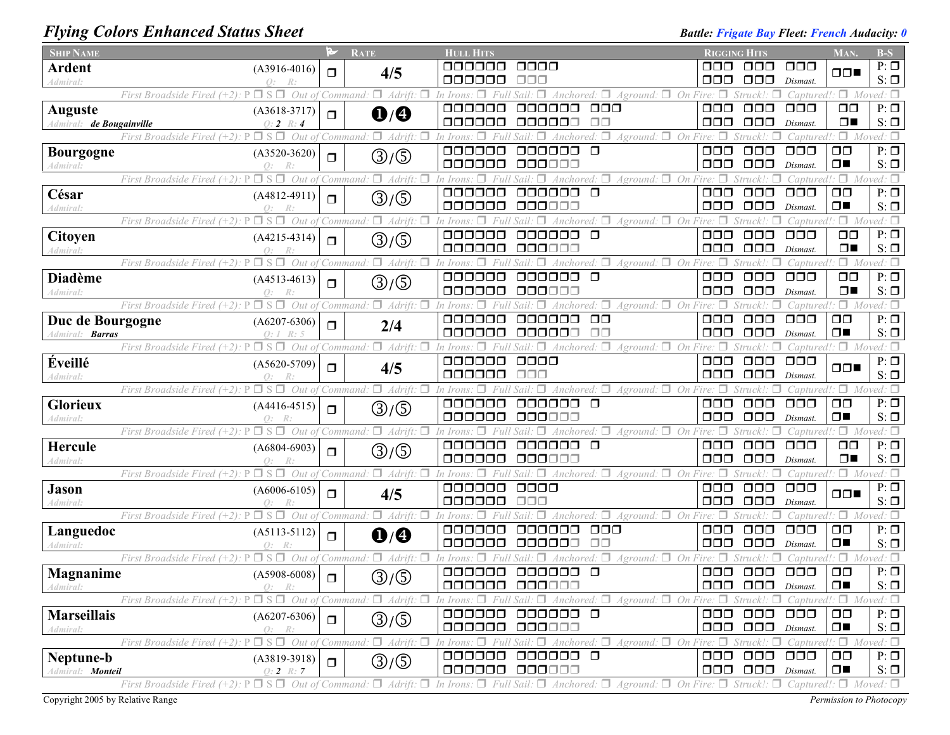## *Flying Colors Enhanced Status Sheet* **Battle: Battle:** *Frigate Bay Fleet: French Audacity:* 0

| <b>SHIP NAME</b>         |                                                                     | M      | <b>RATE</b>                                           | <b>HULL HITS</b>                                                                                                                    |                                                                                 | <b>RIGGING HITS</b>                                       |                            | MAN.                            | $B-S$                  |
|--------------------------|---------------------------------------------------------------------|--------|-------------------------------------------------------|-------------------------------------------------------------------------------------------------------------------------------------|---------------------------------------------------------------------------------|-----------------------------------------------------------|----------------------------|---------------------------------|------------------------|
| <b>Ardent</b>            | $(A3916-4016)$                                                      | $\Box$ | 4/5                                                   | 0000<br>aaaaaa                                                                                                                      | OOO                                                                             | 000-                                                      | 000                        | $\Box$                          | $P: \Box$              |
| Admiral:                 |                                                                     |        |                                                       | 000000<br>ooo                                                                                                                       | 000                                                                             | $\Box$ $\Box$                                             | Dismast.                   |                                 | $S: \Box$              |
|                          | $S \Box$<br>Out of<br>First Broadside Fired (+2)                    |        | π.<br>Adrift.<br>Command.                             | In Irons                                                                                                                            | On.<br>Aground:                                                                 |                                                           | Captured                   |                                 | $\Box$ Moved: $\Box$   |
| <b>Auguste</b>           | $(A3618-3717)$                                                      | $\Box$ | $\mathbf{0}$ / $\mathbf{0}$                           | 000000<br>aaaaaa<br>$\Box \Box \Box$                                                                                                | $\Box$ $\Box$                                                                   | $\Box$ $\Box$                                             | $\Box$ $\Box$              | $\Box$ $\Box$                   | $P: \Box$              |
| Admiral: de Bougainville | $0:2 \; R:4$                                                        |        |                                                       | 000000<br>000000<br>$\Box$ Box                                                                                                      | 000                                                                             | $\Box$ $\Box$                                             | Dismast.                   | $\Box$                          | $S: \Box$              |
|                          | $\Box$ S $\Box$<br>First Broadside Fired $(+2)$ :<br>Out of         |        | $\Box$ Adrift.<br>Command.                            | n Irons                                                                                                                             | Fire: $\Box$<br>$Aground:$ $\Box$ On                                            |                                                           | Captured.                  |                                 | $\Box$ Moved: $\Box$   |
| <b>Bourgogne</b>         | $(A3520-3620)$                                                      | $\Box$ | ③/⑤                                                   | 000000<br>000000<br>$\Box$                                                                                                          | $\Box$ $\Box$                                                                   | $\Box$ $\Box$                                             | $\Box$ $\Box$              | $\Box$ $\Box$                   | $P: \Box$              |
| Admiral:                 | $\Omega$ :                                                          |        |                                                       | 000000<br>000000                                                                                                                    | 000                                                                             | $\Box$ $\Box$                                             | Dismast.                   | $\Box$                          | $S: \Box$              |
|                          | First Broadside Fired (+2):<br>⊐ S<br>Out                           |        | п.<br>`ommand                                         |                                                                                                                                     | Aground: $\Box$<br>On                                                           |                                                           |                            | $\Box$                          | red: □                 |
| César                    | $(A4812-4911)$                                                      | $\Box$ | ③/⑤                                                   | 000000<br>$\Box$<br>000000                                                                                                          | $\Box$ $\Box$                                                                   | $\Box$ $\Box$                                             | $\Box$ $\Box$              | $\Box$                          | $P: \Box$              |
| Admiral:                 | $\mathcal{O}$ :                                                     |        |                                                       | 000000<br>000000                                                                                                                    | 000                                                                             | $\Box$ $\Box$                                             | Dismast.                   | $\Box$                          | $S: \Box$              |
|                          | First Broadside Fired (+2)<br>Out                                   |        | π.<br>Adrift.<br>Command                              | Anchored:                                                                                                                           | $A$ ground: $\Box$ On                                                           |                                                           | 'aptured                   | Π.<br>$\mathcal{M}$             | ved: $\Box$            |
| Citoyen                  | $(A4215-4314)$                                                      | $\Box$ | ③/⑤                                                   | 000000<br>000000<br>$\Box$                                                                                                          | $\Box$ $\Box$                                                                   | $\Box$ $\Box$                                             | $\Box \Box \Box$           | $\Box$ Box                      | $P: \Box$              |
| Admiral:                 | $\Omega$ :                                                          |        |                                                       | 000000<br>000000                                                                                                                    | 000                                                                             | $\Box$ $\Box$                                             | Dismast.                   | $\Box$                          | $S: \Box$              |
|                          | Out of<br>First Broadside Fired (+2).                               |        | π.<br>Adrift.<br>Command                              | n Irons                                                                                                                             | On<br>Aground:                                                                  | Struck!:                                                  | Captured                   | $\Box$ Mo                       | red: $\Box$            |
| <b>Diadème</b>           | $(A4513-4613)$                                                      | $\Box$ | ③/⑤                                                   | 000000<br>oooooo<br>$\Box$<br>00000C                                                                                                | $\Box$ $\Box$<br>$\Box \Box \Box$                                               | $\Box \Box \Box$                                          | $\Box$ $\Box$              | $\Box$ $\Box$<br>$\Box$         | $P: \Box$              |
| Admiral:                 |                                                                     |        |                                                       | 000000                                                                                                                              |                                                                                 | $\Box$ $\Box$                                             | Dismast.                   |                                 | $S: \Box$              |
|                          | $\sqcap$ s<br>Out of<br>First Broadside Fired (+2).                 |        | π.<br>Adrift.<br>Command:                             |                                                                                                                                     | Aground: $\square$<br>On Fire:<br>п                                             |                                                           | aptured!                   | Π.                              | Moved: $\square$       |
| Duc de Bourgogne         | $(A6207-6306)$                                                      | $\Box$ | 2/4                                                   | $\square$<br>000000<br>ooooo<br>$\Box$ $\Box$<br>000000<br>000000                                                                   | $\Box$ $\Box$<br>$\Box \Box \Box$                                               | $\Box$ $\Box$<br>$\Box$ $\Box$                            | $\Box$ $\Box$              | $\Box$ $\Box$<br>$\Box$         | $P: \Box$<br>$S: \Box$ |
| Admiral: <b>Barras</b>   | Q: I<br>R: 5                                                        |        |                                                       |                                                                                                                                     |                                                                                 |                                                           | Dismast.                   | Captured!: $\Box$ Moved: $\Box$ |                        |
|                          | $\Box$ S $\Box$<br>Out of Command:<br>First Broadside Fired (+2):   |        | $\Box$ Adrift.                                        | $\Box$ Anchored: $\Box$<br>In Irons                                                                                                 | $Aground:$ $\Box$ On Fire: $\Box$                                               | $Struck!$ : $\Box$                                        |                            |                                 |                        |
| Éveillé                  | $(A5620-5709)$                                                      | $\Box$ | 4/5                                                   | 000000<br>0000<br>000000<br>$\Box\Box\Box$                                                                                          | $\Box$ $\Box$<br>$\Box$ $\Box$                                                  | $\Box$ $\Box$<br>$\Box$ $\Box$                            | $\Box$ $\Box$              | $\Box$                          | $P: \Box$<br>$S: \Box$ |
| Admiral:                 | $\Omega$ :<br>$\Box$ S $\Box$<br>P                                  |        | π.                                                    |                                                                                                                                     |                                                                                 |                                                           | Dismast.                   |                                 | $\Box$ Moved: $\Box$   |
|                          | Out of<br>First Broadside Fired (+2):                               |        | Adrift:<br>Command.                                   | Anchored: $\Box$<br>In Irons<br>000000<br>000000<br>$\Box$                                                                          | $A$ ground: $\Box$ On<br>$\Box$ $\Box$                                          | Struck!:<br>$\Box$ $\Box$                                 | 'aptured!<br>$\Box$ $\Box$ | $\Box$ $\Box$                   | $P: \Box$              |
| Glorieux                 | $(A4416-4515)$                                                      | $\Box$ | (3)/Q                                                 | 000000<br>000000                                                                                                                    | OOO                                                                             | $\Box$ $\Box$                                             | Dismast.                   | $\Box$                          | $S: \Box$              |
| Admiral:                 | Q:<br>$\Box$ S $\Box$<br>First Broadside Fired (+2).<br>Out         |        | п.<br>Adrift.<br>Command                              |                                                                                                                                     | $Aground:$ $\Box$ On                                                            |                                                           | 'aptured                   | $\Box$ M                        |                        |
| Hercule                  |                                                                     |        |                                                       | 000000<br>000000 0                                                                                                                  | $\Box$ $\Box$                                                                   | $\Box$ $\Box$                                             | $\Box$ $\Box$              | $\Box$ $\Box$                   | $P: \Box$              |
| Admiral:                 | $(A6804-6903)$                                                      | $\Box$ | ③/⑤                                                   | 000000<br>000000                                                                                                                    | $\Box \Box \Box$                                                                | $\Box$ $\Box$                                             | Dismast.                   | $\Box$                          | $S: \Box$              |
|                          | $\Box$ S $\Box$<br>Out of<br>First Broadside Fired (+2).            |        | $\Box$ Adrift:<br>Command.                            | $\Delta$ nchored: $\Box$<br>$Sail: \Box$                                                                                            | $A$ ground: $\Box$ On Fire:                                                     | Struck!:                                                  | aptured.                   |                                 | $\Box$ Moved: $\Box$   |
| <b>Jason</b>             |                                                                     |        |                                                       | 000000<br>0000                                                                                                                      | $\Box$ $\Box$                                                                   | $\Box\Box\Box$                                            | $\Box$ $\Box$              |                                 | $P: \Box$              |
| Admiral:                 | $(A6006-6105)$<br>$\Omega$ :                                        | $\Box$ | 4/5                                                   | 000000<br>$\Box \Box \Box$                                                                                                          | $\Box$ $\Box$                                                                   | $\Box$ $\Box$                                             | Dismast.                   | $\Box \Box$                     | $S: \Box$              |
|                          | $\Box$ S $\Box$<br>First Broadside Fired (+2).<br>Out               |        | $\Box$ Adrift.<br>Command:                            | 'n Irons<br>Anchored.                                                                                                               | $A$ ground: $\Box$ On Fire:                                                     | Struck!:                                                  | 'aptured!                  | ۰۵۰                             | Moved: $\square$       |
| Languedoc                | $(A5113-5112)$                                                      |        |                                                       | 000000<br>$\Box\Box\Box$<br>000000                                                                                                  | $\Box$ $\Box$                                                                   | $\Box$ $\Box$                                             | $\Box$ $\Box$              | $\square$                       | $P: \Box$              |
| Admiral:                 | Q:                                                                  | $\Box$ | $\mathbf{O}/\mathbf{O}$                               | 000000<br>ПП<br>000000                                                                                                              | 000                                                                             | $\Box$ $\Box$                                             | Dismast.                   | $\Box$                          | $S: \Box$              |
|                          | Out of<br>First Broadside Fired (+2).<br>∃ S                        |        | $\Box$ Adrift.<br>п<br>Command:                       |                                                                                                                                     | Aground: $\Box$ On Fire: $\Box$                                                 | Struck!:                                                  |                            | Captured!: $\Box$ Moved: $\Box$ |                        |
| <b>Magnanime</b>         | $(A5908-6008)$                                                      |        |                                                       | 000000<br>000000<br>$\Box$                                                                                                          | $\Box$ $\Box$                                                                   | $\Box$ $\Box$                                             | $\Box \Box \Box$           | $\Box$                          | $P: \Box$              |
| Admiral:                 | К:                                                                  | $\Box$ | ③/⑤                                                   | 000000<br>000000                                                                                                                    |                                                                                 | $\Box$ $\Box$ $\Box$ $\Box$ $\Box$ $\Box$ <i>Dismast.</i> |                            | $\square$<br>$\blacksquare$     | $S: \Box$              |
|                          | First Broadside Fired $(+2)$ : P                                    |        | $\Box$ S $\Box$ Out of Command: $\Box$ Adrift:        | In Irons: $\Box$<br>Full Sail: $\Box$ Anchored: $\Box$ Aground: $\Box$ On Fire: $\Box$ Struck!: $\Box$                              |                                                                                 |                                                           |                            | Captured!: $\Box$ Moved: $\Box$ |                        |
| <b>Marseillais</b>       | $(A6207-6306)$                                                      | $\Box$ |                                                       | 000000<br>000000 0                                                                                                                  | 000                                                                             | 000                                                       | $\Box$ $\Box$              | $\Box$ $\Box$                   | $P: \Box$              |
| Admiral:                 | O:<br>$R$ :                                                         |        | $\textcircled{3}/\textcircled{5}$                     | 000000<br>000000                                                                                                                    |                                                                                 | $\Box$ $\Box$ $\Box$ $\Box$ $Dismast$ .                   |                            | $\Box$                          | $S: \Box$              |
|                          | First Broadside Fired (+2).                                         |        | $\Box$ S $\Box$ Out of Command: $\Box$ Adrift: $\Box$ | In Irons: $\Box$ Full Sail: $\Box$ Anchored: $\Box$                                                                                 | Aground: $\Box$ On Fire: $\Box$ Struck!: $\Box$ Captured!: $\Box$ Moved: $\Box$ |                                                           |                            |                                 |                        |
| Neptune-b                | $(A3819-3918)$                                                      | $\Box$ |                                                       | 000000<br>000000 0                                                                                                                  |                                                                                 | 000 000 000                                               |                            | $\Box$ $\Box$                   | $P: \Box$              |
| Admiral: Monteil         | $Q: 2 \; R: 7$                                                      |        | ③/⑤                                                   | 000000 000000                                                                                                                       |                                                                                 | $\Box$ $\Box$ $\Box$ $\Box$ $Dismast$ .                   |                            | $\Box$                          | $S: \Box$              |
|                          | $\Box$ S $\Box$ Out of Command:<br>First Broadside Fired $(+2)$ : P |        | $\Box$ Adrift: $\Box$                                 | In Irons: $\Box$ Full Sail: $\Box$ Anchored: $\Box$ Aground: $\Box$ On Fire: $\Box$ Struck!: $\Box$ Captured!: $\Box$ Moved: $\Box$ |                                                                                 |                                                           |                            |                                 |                        |